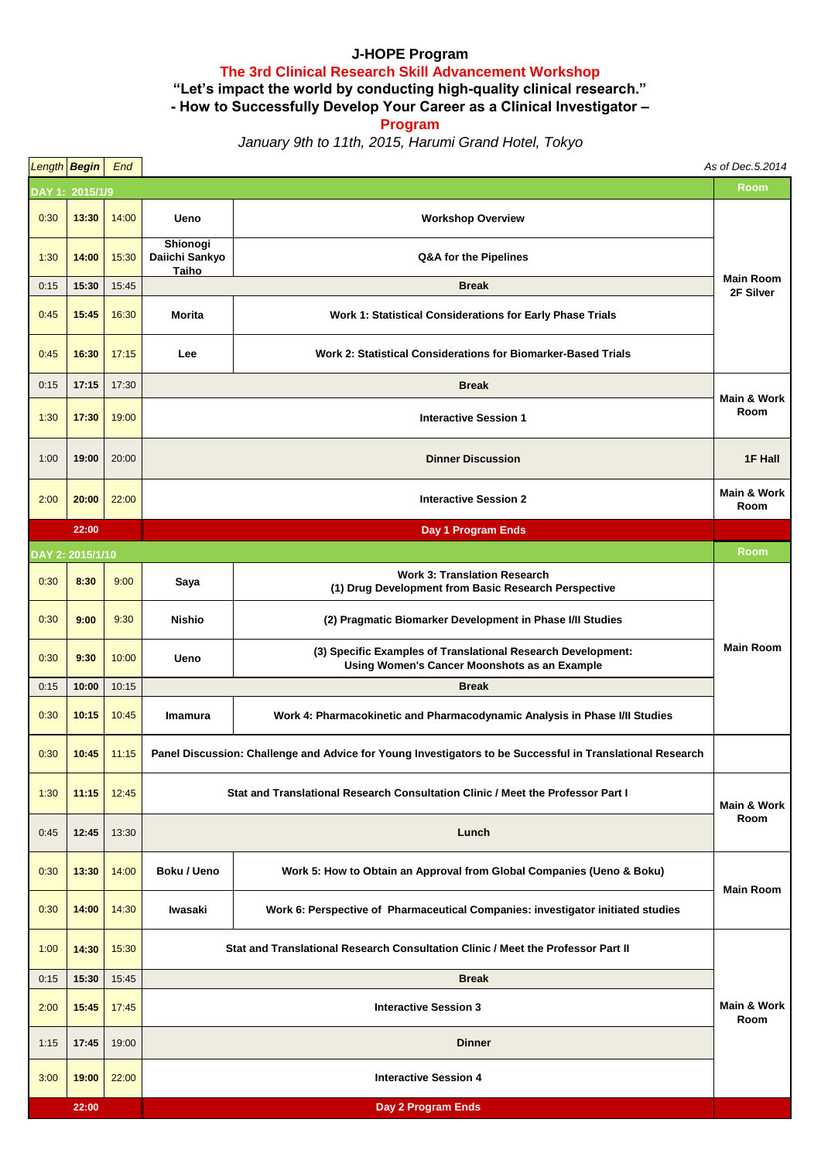## **J-HOPE Program The 3rd Clinical Research Skill Advancement Workshop**

**"Let's impact the world by conducting high-quality clinical research."**

**- How to Successfully Develop Your Career as a Clinical Investigator –**

**Program**

*January 9th to 11th, 2015, Harumi Grand Hotel, Tokyo*

|      | Length Begin     | End                |                                                                                                           |                                                                                                              | As of Dec.5.2014               |  |  |
|------|------------------|--------------------|-----------------------------------------------------------------------------------------------------------|--------------------------------------------------------------------------------------------------------------|--------------------------------|--|--|
|      | DAY 1: 2015/1/9  |                    |                                                                                                           |                                                                                                              |                                |  |  |
| 0:30 | 13:30            | 14:00              | Ueno                                                                                                      | <b>Workshop Overview</b>                                                                                     |                                |  |  |
| 1:30 | 14:00            | 15:30              | Shionogi<br>Daiichi Sankyo<br>Taiho                                                                       | Q&A for the Pipelines                                                                                        |                                |  |  |
| 0:15 | 15:30            | 15:45              | <b>Break</b>                                                                                              |                                                                                                              | <b>Main Room</b><br>2F Silver  |  |  |
| 0:45 | 15:45            | 16:30              | Morita                                                                                                    | Work 1: Statistical Considerations for Early Phase Trials                                                    |                                |  |  |
| 0:45 | 16:30            | 17:15              | Lee                                                                                                       | <b>Work 2: Statistical Considerations for Biomarker-Based Trials</b>                                         |                                |  |  |
| 0:15 | 17:15            | 17:30              | <b>Break</b>                                                                                              |                                                                                                              |                                |  |  |
| 1:30 | 17:30            | 19:00              | <b>Interactive Session 1</b>                                                                              |                                                                                                              | <b>Main &amp; Work</b><br>Room |  |  |
| 1:00 | 19:00            | 20:00              | <b>Dinner Discussion</b>                                                                                  |                                                                                                              | 1F Hall                        |  |  |
| 2:00 | 20:00            | 22:00              | <b>Interactive Session 2</b>                                                                              |                                                                                                              | <b>Main &amp; Work</b><br>Room |  |  |
|      | 22:00            |                    | Day 1 Program Ends                                                                                        |                                                                                                              |                                |  |  |
|      | DAY 2: 2015/1/10 |                    |                                                                                                           |                                                                                                              | Room                           |  |  |
| 0:30 | 8:30             | 9:00               | Saya                                                                                                      | <b>Work 3: Translation Research</b><br>(1) Drug Development from Basic Research Perspective                  |                                |  |  |
| 0:30 | 9:00             | 9:30               | <b>Nishio</b>                                                                                             | (2) Pragmatic Biomarker Development in Phase I/II Studies                                                    | <b>Main Room</b>               |  |  |
| 0:30 | 9:30             | 10:00              | Ueno                                                                                                      | (3) Specific Examples of Translational Research Development:<br>Using Women's Cancer Moonshots as an Example |                                |  |  |
| 0:15 | 10:00            | 10:15              | <b>Break</b>                                                                                              |                                                                                                              |                                |  |  |
| 0:30 | 10:15            | 10:45              | <b>Imamura</b>                                                                                            | Work 4: Pharmacokinetic and Pharmacodynamic Analysis in Phase I/II Studies                                   |                                |  |  |
| 0:30 | 10:45            | 11:15              | Panel Discussion: Challenge and Advice for Young Investigators to be Successful in Translational Research |                                                                                                              |                                |  |  |
| 1:30 | 11:15            | 12:45              | Stat and Translational Research Consultation Clinic / Meet the Professor Part I                           |                                                                                                              | Main & Work<br>Room            |  |  |
| 0:45 | 12:45            | 13:30              | Lunch                                                                                                     |                                                                                                              |                                |  |  |
| 0:30 | 13:30            | 14:00              | <b>Boku / Ueno</b>                                                                                        | Work 5: How to Obtain an Approval from Global Companies (Ueno & Boku)                                        | <b>Main Room</b>               |  |  |
| 0:30 | 14:00            | 14:30              | Iwasaki                                                                                                   | Work 6: Perspective of Pharmaceutical Companies: investigator initiated studies                              |                                |  |  |
| 1:00 | 14:30            | 15:30              | Stat and Translational Research Consultation Clinic / Meet the Professor Part II                          |                                                                                                              |                                |  |  |
| 0:15 | 15:30            | 15:45              | <b>Break</b>                                                                                              |                                                                                                              |                                |  |  |
| 2:00 | 15:45            | 17:45              | <b>Interactive Session 3</b>                                                                              |                                                                                                              | Main & Work<br>Room            |  |  |
| 1:15 | 17:45            | 19:00              | <b>Dinner</b>                                                                                             |                                                                                                              |                                |  |  |
| 3:00 | 19:00            | 22:00              | <b>Interactive Session 4</b>                                                                              |                                                                                                              |                                |  |  |
|      | 22:00            | Day 2 Program Ends |                                                                                                           |                                                                                                              |                                |  |  |